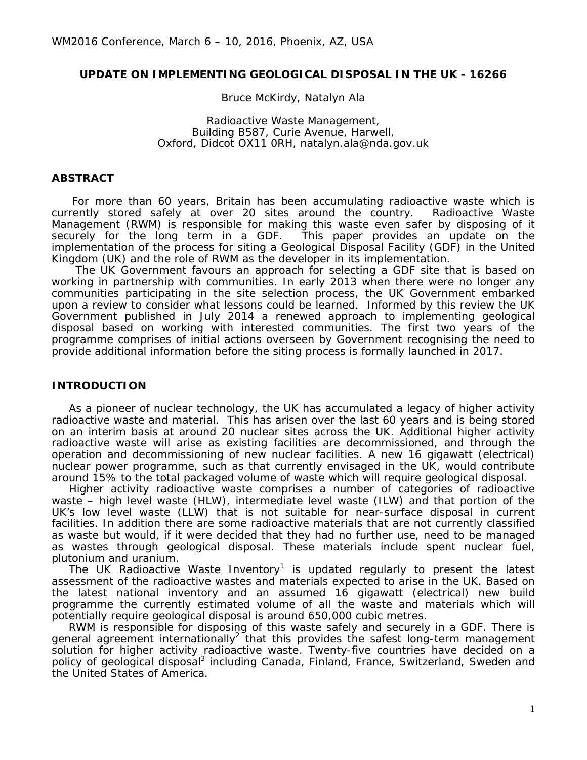### **UPDATE ON IMPLEMENTING GEOLOGICAL DISPOSAL IN THE UK - 16266**

Bruce McKirdy, Natalyn Ala

Radioactive Waste Management, Building B587, Curie Avenue, Harwell, Oxford, Didcot OX11 0RH, natalyn.ala@nda.gov.uk

#### **ABSTRACT**

For more than 60 years, Britain has been accumulating radioactive waste which is currently stored safely at over 20 sites around the country. Radioactive Waste Management (RWM) is responsible for making this waste even safer by disposing of it securely for the long term in a GDF. This paper provides an update on the implementation of the process for siting a Geological Disposal Facility (GDF) in the United Kingdom (UK) and the role of RWM as the developer in its implementation.

The UK Government favours an approach for selecting a GDF site that is based on working in partnership with communities. In early 2013 when there were no longer any communities participating in the site selection process, the UK Government embarked upon a review to consider what lessons could be learned. Informed by this review the UK Government published in July 2014 a renewed approach to implementing geological disposal based on working with interested communities. The first two years of the programme comprises of initial actions overseen by Government recognising the need to provide additional information before the siting process is formally launched in 2017.

### **INTRODUCTION**

As a pioneer of nuclear technology, the UK has accumulated a legacy of higher activity radioactive waste and material. This has arisen over the last 60 years and is being stored on an interim basis at around 20 nuclear sites across the UK. Additional higher activity radioactive waste will arise as existing facilities are decommissioned, and through the operation and decommissioning of new nuclear facilities. A new 16 gigawatt (electrical) nuclear power programme, such as that currently envisaged in the UK, would contribute around 15% to the total packaged volume of waste which will require geological disposal.

Higher activity radioactive waste comprises a number of categories of radioactive waste – high level waste (HLW), intermediate level waste (ILW) and that portion of the UK's low level waste (LLW) that is not suitable for near-surface disposal in current facilities. In addition there are some radioactive materials that are not currently classified as waste but would, if it were decided that they had no further use, need to be managed as wastes through geological disposal. These materials include spent nuclear fuel, plutonium and uranium.

The UK Radioactive Waste Inventory<sup>1</sup> is updated regularly to present the latest assessment of the radioactive wastes and materials expected to arise in the UK. Based on the latest national inventory and an assumed 16 gigawatt (electrical) new build programme the currently estimated volume of all the waste and materials which will potentially require geological disposal is around 650,000 cubic metres.

RWM is responsible for disposing of this waste safely and securely in a GDF. There is general agreement internationally<sup>2</sup> that this provides the safest long-term management solution for higher activity radioactive waste. Twenty-five countries have decided on a policy of geological disposal<sup>3</sup> including Canada, Finland, France, Switzerland, Sweden and the United States of America.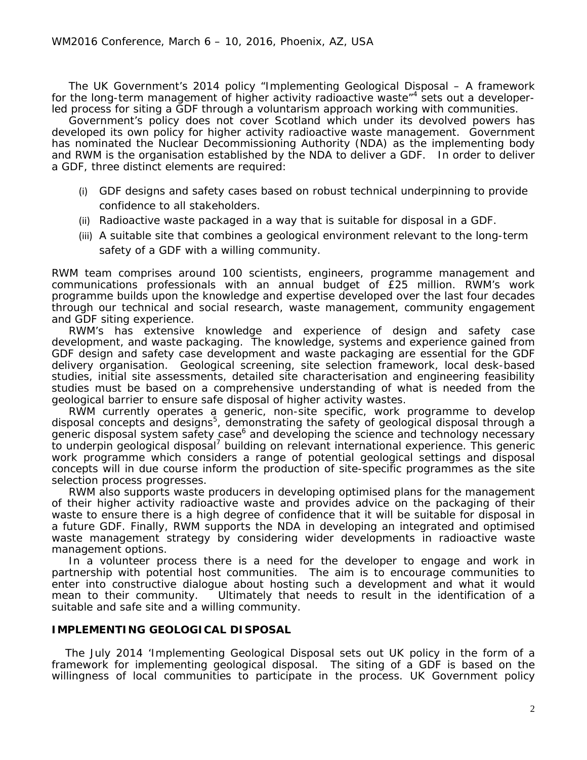The UK Government's 2014 policy "Implementing Geological Disposal – A framework for the long-term management of higher activity radioactive waste<sup>"</sup> sets out a developerled process for siting a GDF through a voluntarism approach working with communities.

Government's policy does not cover Scotland which under its devolved powers has developed its own policy for higher activity radioactive waste management. Government has nominated the Nuclear Decommissioning Authority (NDA) as the implementing body and RWM is the organisation established by the NDA to deliver a GDF. In order to deliver a GDF, three distinct elements are required:

- (i) GDF designs and safety cases based on robust technical underpinning to provide confidence to all stakeholders.
- (ii) Radioactive waste packaged in a way that is suitable for disposal in a GDF.
- (iii) A suitable site that combines a geological environment relevant to the long-term safety of a GDF with a willing community.

RWM team comprises around 100 scientists, engineers, programme management and communications professionals with an annual budget of £25 million. RWM's work programme builds upon the knowledge and expertise developed over the last four decades through our technical and social research, waste management, community engagement and GDF siting experience.

RWM's has extensive knowledge and experience of design and safety case development, and waste packaging. The knowledge, systems and experience gained from GDF design and safety case development and waste packaging are essential for the GDF delivery organisation. Geological screening, site selection framework, local desk-based studies, initial site assessments, detailed site characterisation and engineering feasibility studies must be based on a comprehensive understanding of what is needed from the geological barrier to ensure safe disposal of higher activity wastes.

RWM currently operates a generic, non-site specific, work programme to develop disposal concepts and designs<sup>5</sup>, demonstrating the safety of geological disposal through a generic disposal system safety case<sup>6</sup> and developing the science and technology necessary to underpin geological disposal<sup>7</sup> building on relevant international experience. This generic work programme which considers a range of potential geological settings and disposal concepts will in due course inform the production of site-specific programmes as the site selection process progresses.

RWM also supports waste producers in developing optimised plans for the management of their higher activity radioactive waste and provides advice on the packaging of their waste to ensure there is a high degree of confidence that it will be suitable for disposal in a future GDF. Finally, RWM supports the NDA in developing an integrated and optimised waste management strategy by considering wider developments in radioactive waste management options.

In a volunteer process there is a need for the developer to engage and work in partnership with potential host communities. The aim is to encourage communities to enter into constructive dialogue about hosting such a development and what it would mean to their community. Ultimately that needs to result in the identification of a suitable and safe site and a willing community.

# **IMPLEMENTING GEOLOGICAL DISPOSAL**

The July 2014 'Implementing Geological Disposal sets out UK policy in the form of a framework for implementing geological disposal. The siting of a GDF is based on the willingness of local communities to participate in the process. UK Government policy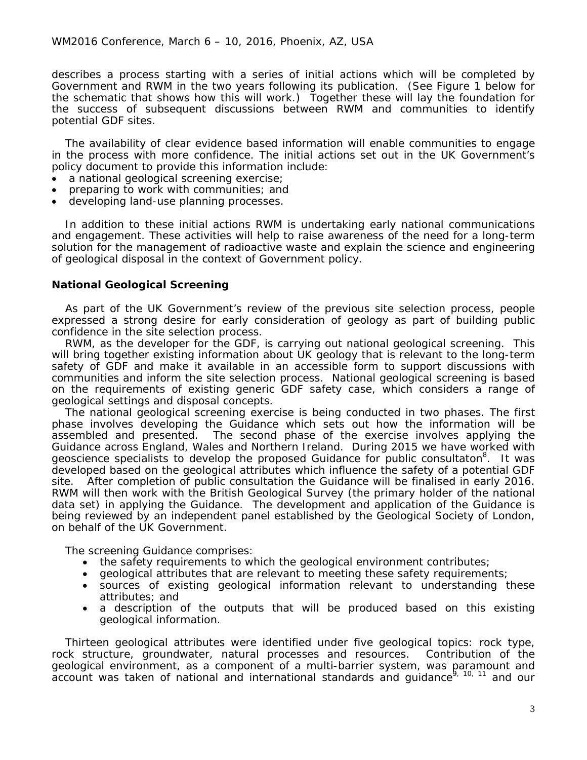describes a process starting with a series of initial actions which will be completed by Government and RWM in the two years following its publication. (See Figure 1 below for the schematic that shows how this will work.) Together these will lay the foundation for the success of subsequent discussions between RWM and communities to identify potential GDF sites.

The availability of clear evidence based information will enable communities to engage in the process with more confidence. The initial actions set out in the UK Government's policy document to provide this information include:

- a national geological screening exercise;
- preparing to work with communities; and
- developing land-use planning processes.

In addition to these initial actions RWM is undertaking early national communications and engagement. These activities will help to raise awareness of the need for a long-term solution for the management of radioactive waste and explain the science and engineering of geological disposal in the context of Government policy.

### **National Geological Screening**

As part of the UK Government's review of the previous site selection process, people expressed a strong desire for early consideration of geology as part of building public confidence in the site selection process.

RWM, as the developer for the GDF, is carrying out national geological screening. This will bring together existing information about UK geology that is relevant to the long-term safety of GDF and make it available in an accessible form to support discussions with communities and inform the site selection process. National geological screening is based on the requirements of existing generic GDF safety case, which considers a range of geological settings and disposal concepts.

The national geological screening exercise is being conducted in two phases. The first phase involves developing the Guidance which sets out how the information will be assembled and presented. The second phase of the exercise involves applying the Guidance across England, Wales and Northern Ireland. During 2015 we have worked with geoscience specialists to develop the proposed Guidance for public consultaton<sup>8</sup>. It was developed based on the geological attributes which influence the safety of a potential GDF site. After completion of public consultation the Guidance will be finalised in early 2016. RWM will then work with the British Geological Survey (the primary holder of the national data set) in applying the Guidance. The development and application of the Guidance is being reviewed by an independent panel established by the Geological Society of London, on behalf of the UK Government.

The screening Guidance comprises:

- the safety requirements to which the geological environment contributes;
- geological attributes that are relevant to meeting these safety requirements;
- sources of existing geological information relevant to understanding these attributes; and
- a description of the outputs that will be produced based on this existing geological information.

Thirteen geological attributes were identified under five geological topics: rock type, rock structure, groundwater, natural processes and resources. Contribution of the geological environment, as a component of a multi-barrier system, was paramount and account was taken of national and international standards and quidance<sup>9, 10, 11</sup> and our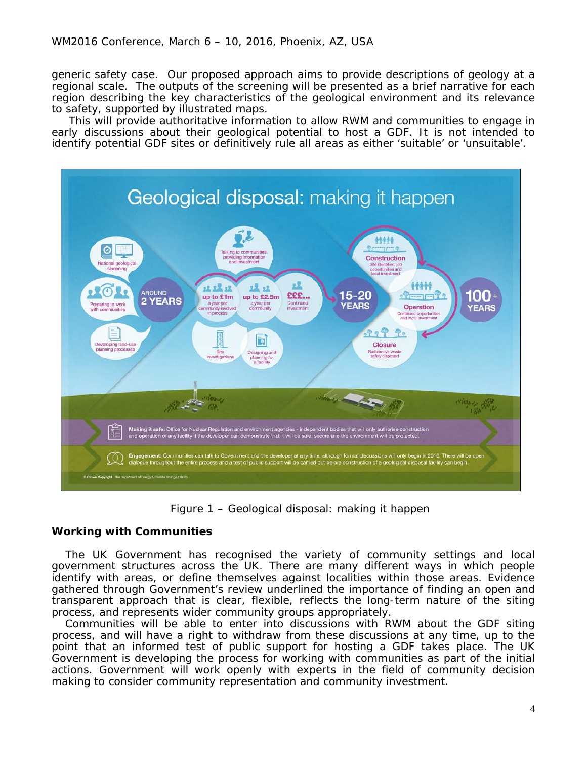generic safety case. Our proposed approach aims to provide descriptions of geology at a regional scale. The outputs of the screening will be presented as a brief narrative for each region describing the key characteristics of the geological environment and its relevance to safety, supported by illustrated maps.

This will provide authoritative information to allow RWM and communities to engage in early discussions about their geological potential to host a GDF. It is not intended to identify potential GDF sites or definitively rule all areas as either 'suitable' or 'unsuitable'.



Figure 1 – Geological disposal: making it happen

# **Working with Communities**

The UK Government has recognised the variety of community settings and local government structures across the UK. There are many different ways in which people identify with areas, or define themselves against localities within those areas. Evidence gathered through Government's review underlined the importance of finding an open and transparent approach that is clear, flexible, reflects the long-term nature of the siting process, and represents wider community groups appropriately.

Communities will be able to enter into discussions with RWM about the GDF siting process, and will have a right to withdraw from these discussions at any time, up to the point that an informed test of public support for hosting a GDF takes place. The UK Government is developing the process for working with communities as part of the initial actions. Government will work openly with experts in the field of community decision making to consider community representation and community investment.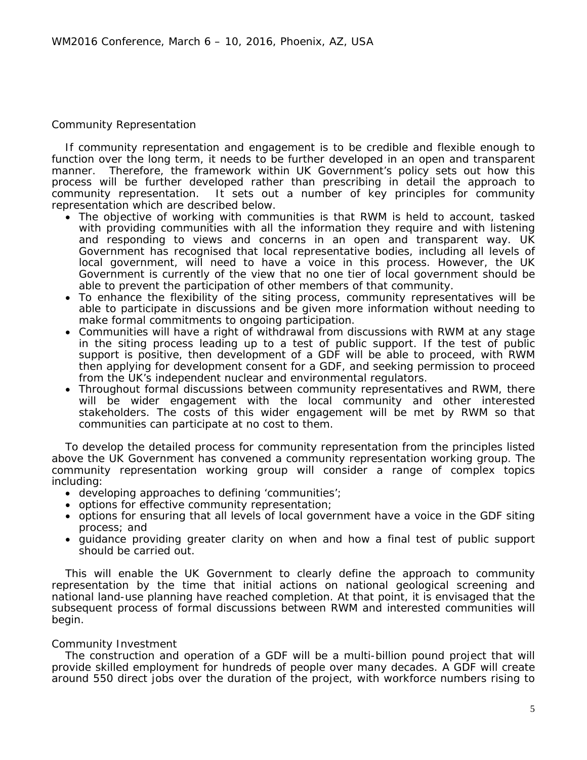## Community Representation

If community representation and engagement is to be credible and flexible enough to function over the long term, it needs to be further developed in an open and transparent manner. Therefore, the framework within UK Government's policy sets out how this process will be further developed rather than prescribing in detail the approach to community representation. It sets out a number of key principles for community representation which are described below.

- The objective of working with communities is that RWM is held to account, tasked with providing communities with all the information they require and with listening and responding to views and concerns in an open and transparent way. UK Government has recognised that local representative bodies, including all levels of local government, will need to have a voice in this process. However, the UK Government is currently of the view that no one tier of local government should be able to prevent the participation of other members of that community.
- To enhance the flexibility of the siting process, community representatives will be able to participate in discussions and be given more information without needing to make formal commitments to ongoing participation.
- Communities will have a right of withdrawal from discussions with RWM at any stage in the siting process leading up to a test of public support. If the test of public support is positive, then development of a GDF will be able to proceed, with RWM then applying for development consent for a GDF, and seeking permission to proceed from the UK's independent nuclear and environmental regulators.
- Throughout formal discussions between community representatives and RWM, there will be wider engagement with the local community and other interested stakeholders. The costs of this wider engagement will be met by RWM so that communities can participate at no cost to them.

To develop the detailed process for community representation from the principles listed above the UK Government has convened a community representation working group. The community representation working group will consider a range of complex topics including:

- developing approaches to defining 'communities';
- options for effective community representation;
- options for ensuring that all levels of local government have a voice in the GDF siting process; and
- guidance providing greater clarity on when and how a final test of public support should be carried out.

This will enable the UK Government to clearly define the approach to community representation by the time that initial actions on national geological screening and national land-use planning have reached completion. At that point, it is envisaged that the subsequent process of formal discussions between RWM and interested communities will begin.

# Community Investment

The construction and operation of a GDF will be a multi-billion pound project that will provide skilled employment for hundreds of people over many decades. A GDF will create around 550 direct jobs over the duration of the project, with workforce numbers rising to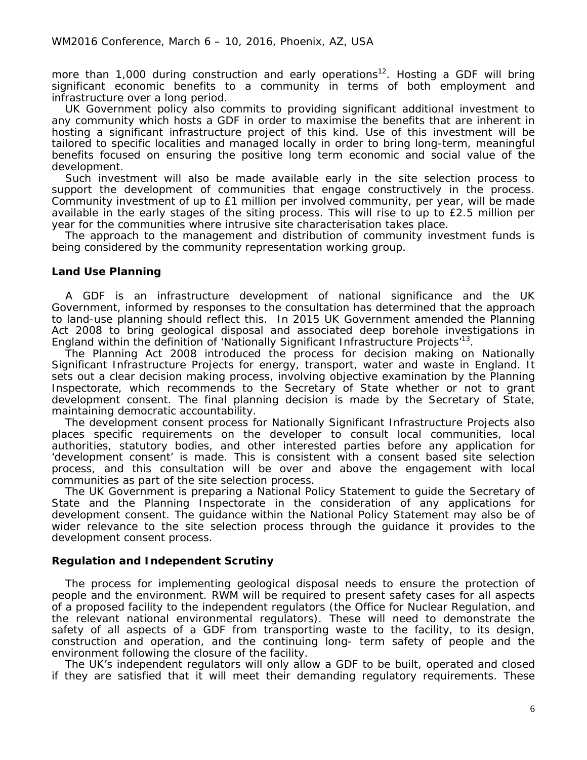more than 1,000 during construction and early operations<sup>12</sup>. Hosting a GDF will bring significant economic benefits to a community in terms of both employment and infrastructure over a long period.

UK Government policy also commits to providing significant additional investment to any community which hosts a GDF in order to maximise the benefits that are inherent in hosting a significant infrastructure project of this kind. Use of this investment will be tailored to specific localities and managed locally in order to bring long-term, meaningful benefits focused on ensuring the positive long term economic and social value of the development.

Such investment will also be made available early in the site selection process to support the development of communities that engage constructively in the process. Community investment of up to £1 million per involved community, per year, will be made available in the early stages of the siting process. This will rise to up to £2.5 million per year for the communities where intrusive site characterisation takes place.

The approach to the management and distribution of community investment funds is being considered by the community representation working group.

# **Land Use Planning**

A GDF is an infrastructure development of national significance and the UK Government, informed by responses to the consultation has determined that the approach to land-use planning should reflect this. In 2015 UK Government amended the Planning Act 2008 to bring geological disposal and associated deep borehole investigations in England within the definition of 'Nationally Significant Infrastructure Projects'<sup>13</sup>.

The Planning Act 2008 introduced the process for decision making on Nationally Significant Infrastructure Projects for energy, transport, water and waste in England. It sets out a clear decision making process, involving objective examination by the Planning Inspectorate, which recommends to the Secretary of State whether or not to grant development consent. The final planning decision is made by the Secretary of State, maintaining democratic accountability.

The development consent process for Nationally Significant Infrastructure Projects also places specific requirements on the developer to consult local communities, local authorities, statutory bodies, and other interested parties before any application for 'development consent' is made. This is consistent with a consent based site selection process, and this consultation will be over and above the engagement with local communities as part of the site selection process.

The UK Government is preparing a National Policy Statement to guide the Secretary of State and the Planning Inspectorate in the consideration of any applications for development consent. The guidance within the National Policy Statement may also be of wider relevance to the site selection process through the guidance it provides to the development consent process.

# **Regulation and Independent Scrutiny**

The process for implementing geological disposal needs to ensure the protection of people and the environment. RWM will be required to present safety cases for all aspects of a proposed facility to the independent regulators (the Office for Nuclear Regulation, and the relevant national environmental regulators). These will need to demonstrate the safety of all aspects of a GDF from transporting waste to the facility, to its design, construction and operation, and the continuing long- term safety of people and the environment following the closure of the facility.

The UK's independent regulators will only allow a GDF to be built, operated and closed if they are satisfied that it will meet their demanding regulatory requirements. These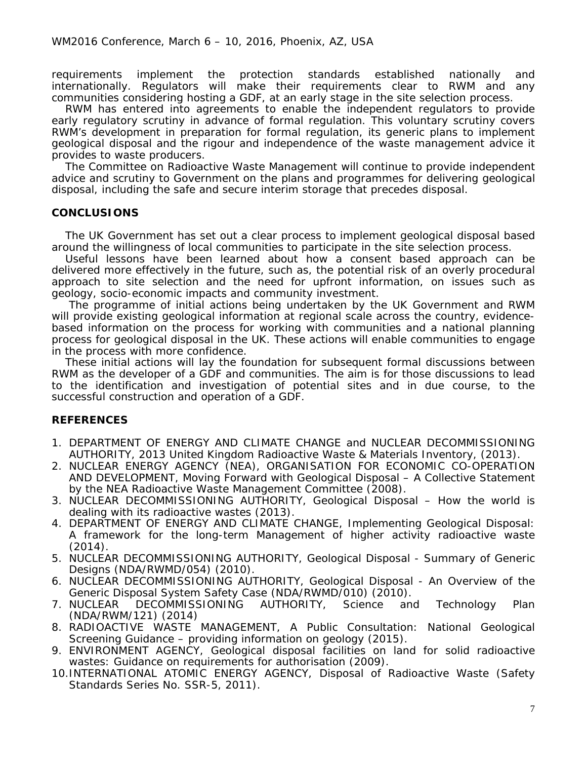requirements implement the protection standards established nationally and internationally. Regulators will make their requirements clear to RWM and any communities considering hosting a GDF, at an early stage in the site selection process.

RWM has entered into agreements to enable the independent regulators to provide early regulatory scrutiny in advance of formal regulation. This voluntary scrutiny covers RWM's development in preparation for formal regulation, its generic plans to implement geological disposal and the rigour and independence of the waste management advice it provides to waste producers.

The Committee on Radioactive Waste Management will continue to provide independent advice and scrutiny to Government on the plans and programmes for delivering geological disposal, including the safe and secure interim storage that precedes disposal.

# **CONCLUSIONS**

The UK Government has set out a clear process to implement geological disposal based around the willingness of local communities to participate in the site selection process.

Useful lessons have been learned about how a consent based approach can be delivered more effectively in the future, such as, the potential risk of an overly procedural approach to site selection and the need for upfront information, on issues such as geology, socio-economic impacts and community investment.

The programme of initial actions being undertaken by the UK Government and RWM will provide existing geological information at regional scale across the country, evidencebased information on the process for working with communities and a national planning process for geological disposal in the UK. These actions will enable communities to engage in the process with more confidence.

These initial actions will lay the foundation for subsequent formal discussions between RWM as the developer of a GDF and communities. The aim is for those discussions to lead to the identification and investigation of potential sites and in due course, to the successful construction and operation of a GDF.

### **REFERENCES**

- 1. DEPARTMENT OF ENERGY AND CLIMATE CHANGE and NUCLEAR DECOMMISSIONING AUTHORITY, 2013 United Kingdom Radioactive Waste & Materials Inventory, (2013).
- 2. NUCLEAR ENERGY AGENCY (NEA), ORGANISATION FOR ECONOMIC CO-OPERATION AND DEVELOPMENT, Moving Forward with Geological Disposal – A Collective Statement by the NEA Radioactive Waste Management Committee (2008).
- 3. NUCLEAR DECOMMISSIONING AUTHORITY, Geological Disposal How the world is dealing with its radioactive wastes (2013).
- 4. DEPARTMENT OF ENERGY AND CLIMATE CHANGE, Implementing Geological Disposal: A framework for the long-term Management of higher activity radioactive waste (2014).
- 5. NUCLEAR DECOMMISSIONING AUTHORITY, Geological Disposal Summary of Generic Designs (NDA/RWMD/054) (2010).
- 6. NUCLEAR DECOMMISSIONING AUTHORITY, Geological Disposal An Overview of the Generic Disposal System Safety Case (NDA/RWMD/010) (2010).
- 7. NUCLEAR DECOMMISSIONING AUTHORITY, Science and Technology Plan (NDA/RWM/121) (2014)
- 8. RADIOACTIVE WASTE MANAGEMENT, A Public Consultation: National Geological Screening Guidance – providing information on geology (2015).
- 9. ENVIRONMENT AGENCY, Geological disposal facilities on land for solid radioactive wastes: Guidance on requirements for authorisation (2009).
- 10.INTERNATIONAL ATOMIC ENERGY AGENCY, Disposal of Radioactive Waste (Safety Standards Series No. SSR-5, 2011).